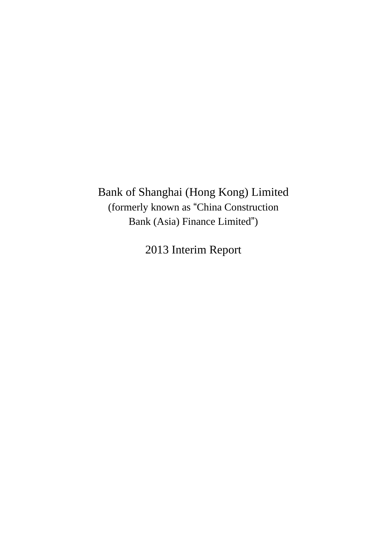Bank of Shanghai (Hong Kong) Limited (formerly known as "China Construction Bank (Asia) Finance Limited")

2013 Interim Report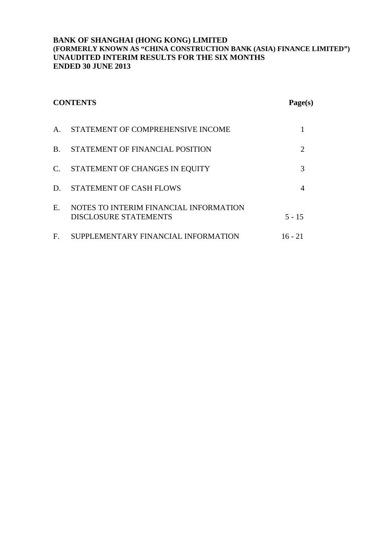| <b>CONTENTS</b> |                                                                        | Page(s)                     |
|-----------------|------------------------------------------------------------------------|-----------------------------|
| $\mathsf{A}$ .  | STATEMENT OF COMPREHENSIVE INCOME                                      |                             |
| $B_{\cdot}$     | STATEMENT OF FINANCIAL POSITION                                        | $\mathcal{D}_{\mathcal{L}}$ |
| $C_{\cdot}$     | STATEMENT OF CHANGES IN EQUITY                                         | 3                           |
| D.              | STATEMENT OF CASH FLOWS                                                |                             |
| $E_{\cdot}$     | NOTES TO INTERIM FINANCIAL INFORMATION<br><b>DISCLOSURE STATEMENTS</b> | $5 - 15$                    |
| F.              | SUPPLEMENTARY FINANCIAL INFORMATION                                    | $16 - 21$                   |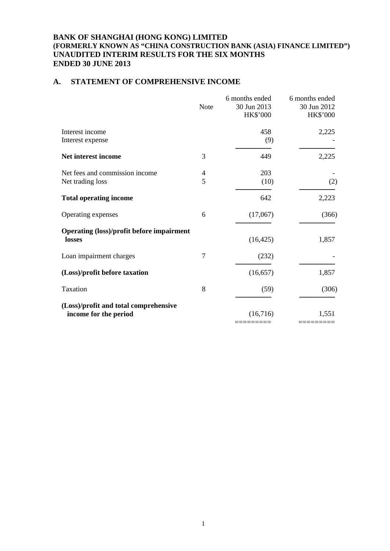## **A. STATEMENT OF COMPREHENSIVE INCOME**

|                                                                | <b>Note</b>         | 6 months ended<br>30 Jun 2013<br>HK\$'000 | 6 months ended<br>30 Jun 2012<br><b>HK\$'000</b> |
|----------------------------------------------------------------|---------------------|-------------------------------------------|--------------------------------------------------|
| Interest income<br>Interest expense                            |                     | 458<br>(9)                                | 2,225                                            |
| Net interest income                                            | 3                   | 449                                       | 2,225                                            |
| Net fees and commission income<br>Net trading loss             | $\overline{4}$<br>5 | 203<br>(10)                               | (2)                                              |
| <b>Total operating income</b>                                  |                     | 642                                       | 2,223                                            |
| Operating expenses                                             | 6                   | (17,067)                                  | (366)                                            |
| <b>Operating (loss)/profit before impairment</b><br>losses     |                     | (16, 425)                                 | 1,857                                            |
| Loan impairment charges                                        | $\overline{7}$      | (232)                                     |                                                  |
| (Loss)/profit before taxation                                  |                     | (16, 657)                                 | 1,857                                            |
| Taxation                                                       | 8                   | (59)                                      | (306)                                            |
| (Loss)/profit and total comprehensive<br>income for the period |                     | (16,716)                                  | 1,551                                            |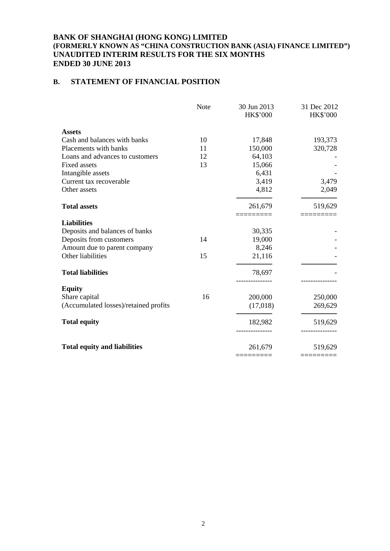## **B. STATEMENT OF FINANCIAL POSITION**

|                                       | <b>Note</b> | 30 Jun 2013<br>HK\$'000 | 31 Dec 2012<br><b>HK\$'000</b> |
|---------------------------------------|-------------|-------------------------|--------------------------------|
| <b>Assets</b>                         |             |                         |                                |
| Cash and balances with banks          | 10          | 17,848                  | 193,373                        |
| Placements with banks                 | 11          | 150,000                 | 320,728                        |
| Loans and advances to customers       | 12          | 64,103                  |                                |
| <b>Fixed assets</b>                   | 13          | 15,066                  |                                |
| Intangible assets                     |             | 6,431                   |                                |
| Current tax recoverable               |             | 3,419                   | 3,479                          |
| Other assets                          |             | 4,812                   | 2,049                          |
| <b>Total assets</b>                   |             | 261,679                 | 519,629                        |
|                                       |             |                         |                                |
| <b>Liabilities</b>                    |             |                         |                                |
| Deposits and balances of banks        |             | 30,335                  |                                |
| Deposits from customers               | 14          | 19,000                  |                                |
| Amount due to parent company          |             | 8,246                   |                                |
| Other liabilities                     | 15          | 21,116                  |                                |
| <b>Total liabilities</b>              |             | 78,697                  |                                |
| <b>Equity</b>                         |             |                         |                                |
| Share capital                         | 16          | 200,000                 | 250,000                        |
| (Accumulated losses)/retained profits |             | (17,018)                | 269,629                        |
| <b>Total equity</b>                   |             | 182,982                 | 519,629                        |
|                                       |             |                         |                                |
| <b>Total equity and liabilities</b>   |             | 261,679                 | 519,629                        |
|                                       |             |                         |                                |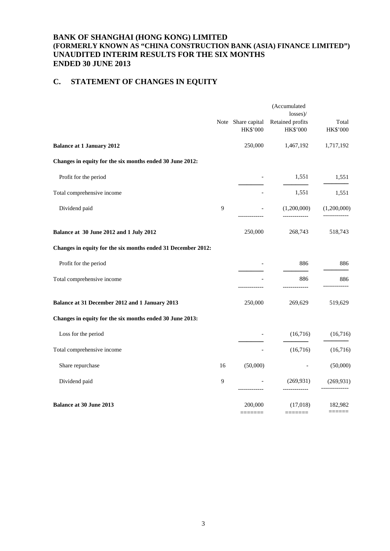# **C. STATEMENT OF CHANGES IN EQUITY**

|                                                              |    |                                | (Accumulated<br>$losses$ )/             |                                    |
|--------------------------------------------------------------|----|--------------------------------|-----------------------------------------|------------------------------------|
|                                                              |    | Note Share capital<br>HK\$'000 | Retained profits<br>HK\$'000            | Total<br>HK\$'000                  |
| <b>Balance at 1 January 2012</b>                             |    | 250,000                        | 1,467,192                               | 1,717,192                          |
| Changes in equity for the six months ended 30 June 2012:     |    |                                |                                         |                                    |
| Profit for the period                                        |    |                                | 1,551                                   | 1,551                              |
| Total comprehensive income                                   |    |                                | 1,551                                   | 1,551                              |
| Dividend paid                                                | 9  |                                | (1,200,000)<br>--------------           | (1,200,000)                        |
| Balance at 30 June 2012 and 1 July 2012                      |    | 250,000                        | 268,743                                 | 518,743                            |
| Changes in equity for the six months ended 31 December 2012: |    |                                |                                         |                                    |
| Profit for the period                                        |    |                                | 886                                     | 886                                |
| Total comprehensive income                                   |    |                                | 886                                     | 886                                |
| Balance at 31 December 2012 and 1 January 2013               |    | 250,000                        | 269,629                                 | 519,629                            |
| Changes in equity for the six months ended 30 June 2013:     |    |                                |                                         |                                    |
| Loss for the period                                          |    |                                | (16,716)                                | (16,716)                           |
| Total comprehensive income                                   |    |                                | (16,716)                                | (16,716)                           |
| Share repurchase                                             | 16 | (50,000)                       |                                         | (50,000)                           |
| Dividend paid                                                | 9  |                                | (269, 931)                              | (269, 931)                         |
| <b>Balance at 30 June 2013</b>                               |    | 200,000<br>=======             | (17,018)<br>$=$ $=$ $=$ $=$ $=$ $=$ $=$ | 182,982<br>$=$ $=$ $=$ $=$ $=$ $=$ |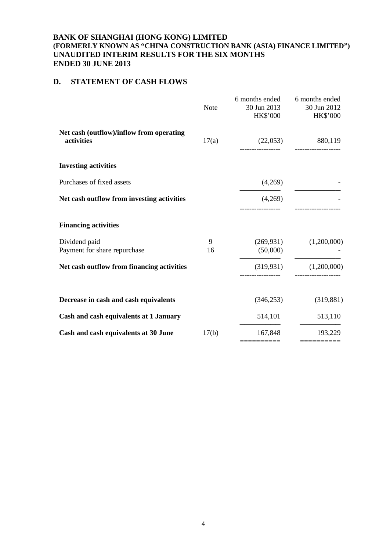## **D. STATEMENT OF CASH FLOWS**

|                                                        | <b>Note</b> | 6 months ended<br>30 Jun 2013<br>HK\$'000 | 6 months ended<br>30 Jun 2012<br>HK\$'000        |
|--------------------------------------------------------|-------------|-------------------------------------------|--------------------------------------------------|
| Net cash (outflow)/inflow from operating<br>activities | 17(a)       |                                           | $(22,053)$ 880,119                               |
| <b>Investing activities</b>                            |             |                                           |                                                  |
| Purchases of fixed assets                              |             | (4,269)                                   |                                                  |
| Net cash outflow from investing activities             |             | (4,269)                                   |                                                  |
| <b>Financing activities</b>                            |             |                                           |                                                  |
| Dividend paid<br>Payment for share repurchase          | 9<br>16     | (269, 931)<br>(50,000)                    | (1,200,000)                                      |
| Net cash outflow from financing activities             |             |                                           | $(319,931)$ $(1,200,000)$<br>------------------- |
| Decrease in cash and cash equivalents                  |             | (346, 253)                                | (319, 881)                                       |
| Cash and cash equivalents at 1 January                 |             | 514,101                                   | 513,110                                          |
| Cash and cash equivalents at 30 June                   | 17(b)       | 167,848<br>==========                     | 193,229                                          |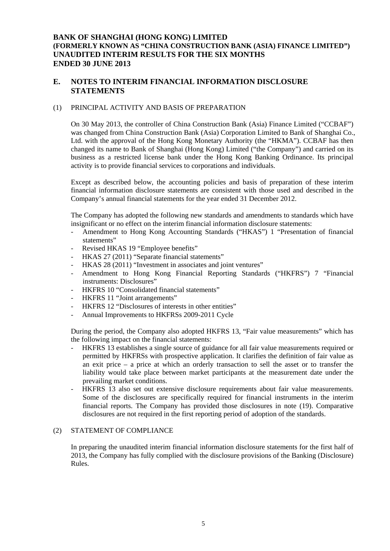## **E. NOTES TO INTERIM FINANCIAL INFORMATION DISCLOSURE STATEMENTS**

#### (1) PRINCIPAL ACTIVITY AND BASIS OF PREPARATION

On 30 May 2013, the controller of China Construction Bank (Asia) Finance Limited ("CCBAF") was changed from China Construction Bank (Asia) Corporation Limited to Bank of Shanghai Co., Ltd. with the approval of the Hong Kong Monetary Authority (the "HKMA"). CCBAF has then changed its name to Bank of Shanghai (Hong Kong) Limited ("the Company") and carried on its business as a restricted license bank under the Hong Kong Banking Ordinance. Its principal activity is to provide financial services to corporations and individuals.

Except as described below, the accounting policies and basis of preparation of these interim financial information disclosure statements are consistent with those used and described in the Company's annual financial statements for the year ended 31 December 2012.

The Company has adopted the following new standards and amendments to standards which have insignificant or no effect on the interim financial information disclosure statements:

- Amendment to Hong Kong Accounting Standards ("HKAS") 1 "Presentation of financial statements"
- Revised HKAS 19 "Employee benefits"
- HKAS 27 (2011) "Separate financial statements"
- HKAS 28 (2011) "Investment in associates and joint ventures"
- Amendment to Hong Kong Financial Reporting Standards ("HKFRS") 7 "Financial instruments: Disclosures"
- HKFRS 10 "Consolidated financial statements"
- HKFRS 11 "Joint arrangements"
- HKFRS 12 "Disclosures of interests in other entities"
- Annual Improvements to HKFRSs 2009-2011 Cycle

During the period, the Company also adopted HKFRS 13, "Fair value measurements" which has the following impact on the financial statements:

- HKFRS 13 establishes a single source of guidance for all fair value measurements required or permitted by HKFRSs with prospective application. It clarifies the definition of fair value as an exit price – a price at which an orderly transaction to sell the asset or to transfer the liability would take place between market participants at the measurement date under the prevailing market conditions.
- HKFRS 13 also set out extensive disclosure requirements about fair value measurements. Some of the disclosures are specifically required for financial instruments in the interim financial reports. The Company has provided those disclosures in note (19). Comparative disclosures are not required in the first reporting period of adoption of the standards.

#### (2) STATEMENT OF COMPLIANCE

In preparing the unaudited interim financial information disclosure statements for the first half of 2013, the Company has fully complied with the disclosure provisions of the Banking (Disclosure) Rules.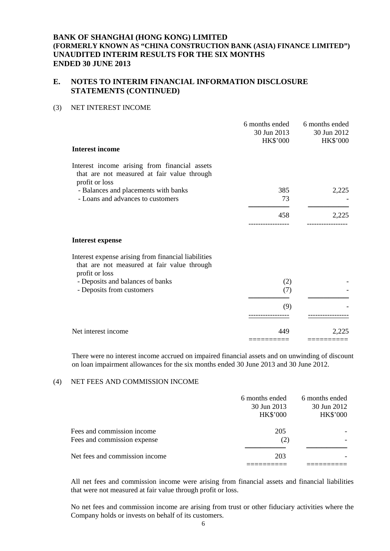## **E. NOTES TO INTERIM FINANCIAL INFORMATION DISCLOSURE STATEMENTS (CONTINUED)**

### (3) NET INTEREST INCOME

|                                                                                                                      | 6 months ended<br>30 Jun 2013<br>HK\$'000 | 6 months ended<br>30 Jun 2012<br><b>HK\$'000</b> |
|----------------------------------------------------------------------------------------------------------------------|-------------------------------------------|--------------------------------------------------|
| <b>Interest income</b>                                                                                               |                                           |                                                  |
| Interest income arising from financial assets<br>that are not measured at fair value through<br>profit or loss       |                                           |                                                  |
| - Balances and placements with banks<br>- Loans and advances to customers                                            | 385<br>73                                 | 2,225                                            |
|                                                                                                                      | 458                                       | 2,225                                            |
| <b>Interest expense</b>                                                                                              |                                           |                                                  |
| Interest expense arising from financial liabilities<br>that are not measured at fair value through<br>profit or loss |                                           |                                                  |
| - Deposits and balances of banks<br>- Deposits from customers                                                        | (2)<br>(7)                                |                                                  |
|                                                                                                                      | (9)                                       |                                                  |
| Net interest income                                                                                                  | 449                                       | 2.225                                            |

There were no interest income accrued on impaired financial assets and on unwinding of discount on loan impairment allowances for the six months ended 30 June 2013 and 30 June 2012.

#### (4) NET FEES AND COMMISSION INCOME

|                                                           | 6 months ended<br>30 Jun 2013<br><b>HK\$'000</b> | 6 months ended<br>30 Jun 2012<br><b>HK\$'000</b> |
|-----------------------------------------------------------|--------------------------------------------------|--------------------------------------------------|
| Fees and commission income<br>Fees and commission expense | 205<br>(2)                                       |                                                  |
| Net fees and commission income                            | 203                                              |                                                  |

All net fees and commission income were arising from financial assets and financial liabilities that were not measured at fair value through profit or loss.

No net fees and commission income are arising from trust or other fiduciary activities where the Company holds or invests on behalf of its customers.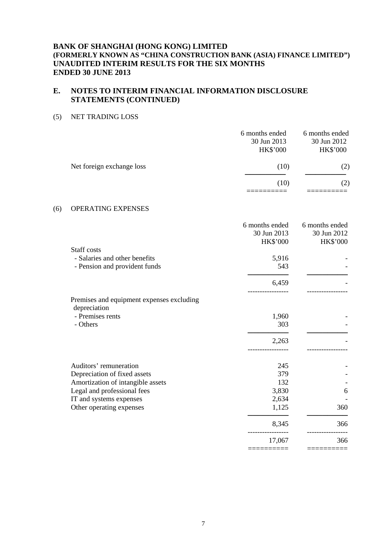# **E. NOTES TO INTERIM FINANCIAL INFORMATION DISCLOSURE STATEMENTS (CONTINUED)**

### (5) NET TRADING LOSS

|                           | 6 months ended<br>30 Jun 2013<br><b>HK\$'000</b> | 6 months ended<br>30 Jun 2012<br><b>HK\$'000</b> |
|---------------------------|--------------------------------------------------|--------------------------------------------------|
| Net foreign exchange loss | (10)                                             | (2)                                              |
|                           | (10)                                             | (2)                                              |
|                           |                                                  |                                                  |

### (6) OPERATING EXPENSES

|                                           | 6 months ended<br>30 Jun 2013<br><b>HK\$'000</b> | 6 months ended<br>30 Jun 2012<br><b>HK\$'000</b> |
|-------------------------------------------|--------------------------------------------------|--------------------------------------------------|
| Staff costs                               |                                                  |                                                  |
| - Salaries and other benefits             | 5,916                                            |                                                  |
| - Pension and provident funds             | 543                                              |                                                  |
|                                           | 6,459                                            |                                                  |
| Premises and equipment expenses excluding |                                                  |                                                  |
| depreciation                              |                                                  |                                                  |
| - Premises rents                          | 1,960                                            |                                                  |
| - Others                                  | 303                                              |                                                  |
|                                           | 2,263                                            |                                                  |
|                                           |                                                  |                                                  |
| Auditors' remuneration                    | 245                                              |                                                  |
| Depreciation of fixed assets              | 379                                              |                                                  |
| Amortization of intangible assets         | 132                                              |                                                  |
| Legal and professional fees               | 3,830                                            | 6                                                |
| IT and systems expenses                   | 2,634                                            |                                                  |
| Other operating expenses                  | 1,125                                            | 360                                              |
|                                           | 8,345                                            | 366                                              |
|                                           | 17,067                                           | 366                                              |
|                                           |                                                  |                                                  |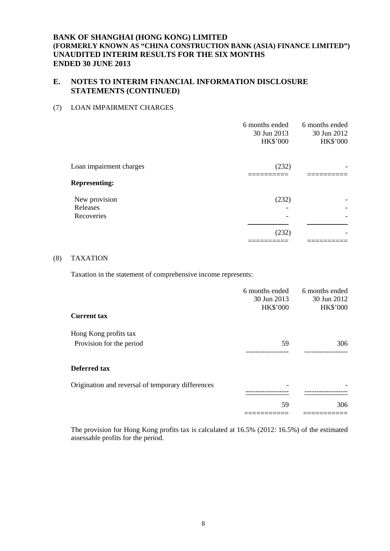## **E. NOTES TO INTERIM FINANCIAL INFORMATION DISCLOSURE STATEMENTS (CONTINUED)**

### (7) LOAN IMPAIRMENT CHARGES

|                                         | 6 months ended<br>30 Jun 2013<br><b>HK\$'000</b> | 6 months ended<br>30 Jun 2012<br><b>HK\$'000</b> |
|-----------------------------------------|--------------------------------------------------|--------------------------------------------------|
| Loan impairment charges                 | (232)                                            |                                                  |
| <b>Representing:</b>                    |                                                  |                                                  |
| New provision<br>Releases<br>Recoveries | (232)                                            |                                                  |
|                                         | (232)                                            |                                                  |

### (8) TAXATION

Taxation in the statement of comprehensive income represents:

|                                                   | 6 months ended<br>30 Jun 2013 | 6 months ended<br>30 Jun 2012 |
|---------------------------------------------------|-------------------------------|-------------------------------|
|                                                   | <b>HK\$'000</b>               | <b>HK\$'000</b>               |
| <b>Current tax</b>                                |                               |                               |
| Hong Kong profits tax                             |                               |                               |
| Provision for the period                          | 59                            | 306                           |
|                                                   |                               |                               |
| <b>Deferred tax</b>                               |                               |                               |
| Origination and reversal of temporary differences |                               |                               |
|                                                   |                               |                               |
|                                                   | 59                            | 306                           |
|                                                   |                               |                               |

The provision for Hong Kong profits tax is calculated at 16.5% (2012: 16.5%) of the estimated assessable profits for the period.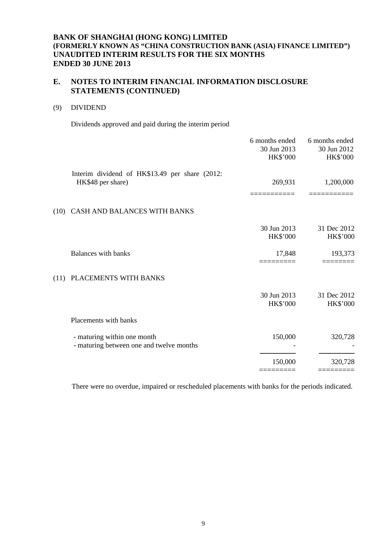## **E. NOTES TO INTERIM FINANCIAL INFORMATION DISCLOSURE STATEMENTS (CONTINUED)**

### (9) DIVIDEND

Dividends approved and paid during the interim period

| Interim dividend of HK\$13.49 per share (2012:<br>269,931<br>HK\$48 per share)<br>(10) CASH AND BALANCES WITH BANKS<br>30 Jun 2013<br><b>HK\$'000</b><br><b>Balances with banks</b><br>17,848<br>PLACEMENTS WITH BANKS<br>(11)<br>30 Jun 2013<br>HK\$'000<br>Placements with banks<br>150,000<br>- maturing within one month<br>- maturing between one and twelve months<br>150,000 |  | 6 months ended<br>30 Jun 2013<br><b>HK\$'000</b> | 6 months ended<br>30 Jun 2012<br><b>HK\$'000</b> |
|-------------------------------------------------------------------------------------------------------------------------------------------------------------------------------------------------------------------------------------------------------------------------------------------------------------------------------------------------------------------------------------|--|--------------------------------------------------|--------------------------------------------------|
|                                                                                                                                                                                                                                                                                                                                                                                     |  |                                                  | 1,200,000                                        |
|                                                                                                                                                                                                                                                                                                                                                                                     |  |                                                  |                                                  |
|                                                                                                                                                                                                                                                                                                                                                                                     |  |                                                  | 31 Dec 2012<br>HK\$'000                          |
|                                                                                                                                                                                                                                                                                                                                                                                     |  |                                                  | 193,373                                          |
|                                                                                                                                                                                                                                                                                                                                                                                     |  |                                                  |                                                  |
|                                                                                                                                                                                                                                                                                                                                                                                     |  |                                                  | 31 Dec 2012<br>HK\$'000                          |
|                                                                                                                                                                                                                                                                                                                                                                                     |  |                                                  |                                                  |
|                                                                                                                                                                                                                                                                                                                                                                                     |  |                                                  | 320,728                                          |
|                                                                                                                                                                                                                                                                                                                                                                                     |  |                                                  | 320,728                                          |

There were no overdue, impaired or rescheduled placements with banks for the periods indicated.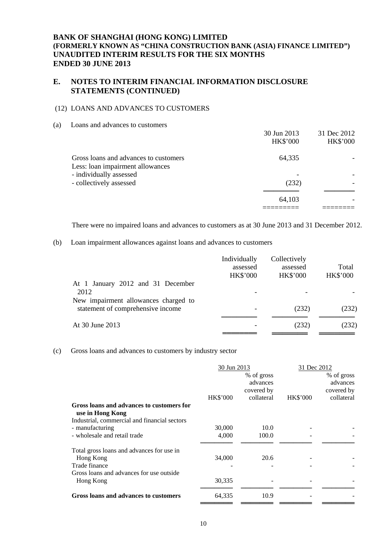## **E. NOTES TO INTERIM FINANCIAL INFORMATION DISCLOSURE STATEMENTS (CONTINUED)**

### (12) LOANS AND ADVANCES TO CUSTOMERS

(a) Loans and advances to customers

|                                       | 30 Jun 2013     | 31 Dec 2012     |
|---------------------------------------|-----------------|-----------------|
|                                       | <b>HK\$'000</b> | <b>HK\$'000</b> |
| Gross loans and advances to customers | 64,335          |                 |
| Less: loan impairment allowances      |                 |                 |
| - individually assessed               |                 |                 |
| - collectively assessed               | (232)           |                 |
|                                       | 64,103          |                 |
|                                       |                 |                 |

There were no impaired loans and advances to customers as at 30 June 2013 and 31 December 2012.

### (b) Loan impairment allowances against loans and advances to customers

|                                      | Individually<br>assessed<br><b>HK\$'000</b> | Collectively<br>assessed<br><b>HK\$'000</b> | Total<br><b>HK\$'000</b> |
|--------------------------------------|---------------------------------------------|---------------------------------------------|--------------------------|
| At 1 January 2012 and 31 December    |                                             |                                             |                          |
| 2012                                 |                                             |                                             |                          |
| New impairment allowances charged to |                                             |                                             |                          |
| statement of comprehensive income    |                                             | (232)                                       | (232)                    |
| At 30 June 2013                      |                                             | (232)                                       | (232)                    |
|                                      |                                             |                                             |                          |

#### (c) Gross loans and advances to customers by industry sector

|                                                               | 30 Jun 2013     |                                      | 31 Dec 2012     |                                      |
|---------------------------------------------------------------|-----------------|--------------------------------------|-----------------|--------------------------------------|
|                                                               |                 | % of gross<br>advances<br>covered by |                 | % of gross<br>advances<br>covered by |
|                                                               | <b>HK\$'000</b> | collateral                           | <b>HK\$'000</b> | collateral                           |
| Gross loans and advances to customers for<br>use in Hong Kong |                 |                                      |                 |                                      |
| Industrial, commercial and financial sectors                  |                 |                                      |                 |                                      |
| - manufacturing                                               | 30,000          | 10.0                                 |                 |                                      |
| - wholesale and retail trade                                  | 4,000           | 100.0                                |                 |                                      |
| Total gross loans and advances for use in                     |                 |                                      |                 |                                      |
| Hong Kong                                                     | 34,000          | 20.6                                 |                 |                                      |
| Trade finance                                                 |                 |                                      |                 |                                      |
| Gross loans and advances for use outside                      |                 |                                      |                 |                                      |
| Hong Kong                                                     | 30,335          |                                      |                 |                                      |
| Gross loans and advances to customers                         | 64,335          | 10.9                                 |                 |                                      |
|                                                               |                 |                                      |                 |                                      |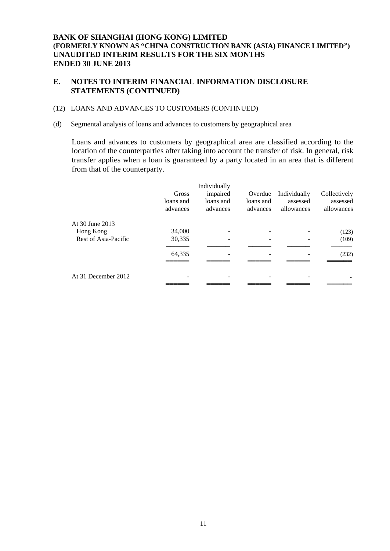## **E. NOTES TO INTERIM FINANCIAL INFORMATION DISCLOSURE STATEMENTS (CONTINUED)**

### (12) LOANS AND ADVANCES TO CUSTOMERS (CONTINUED)

(d) Segmental analysis of loans and advances to customers by geographical area

Loans and advances to customers by geographical area are classified according to the location of the counterparties after taking into account the transfer of risk. In general, risk transfer applies when a loan is guaranteed by a party located in an area that is different from that of the counterparty.

|                      | Gross<br>loans and<br>advances | Individually<br>impaired<br>loans and<br>advances | Overdue<br>loans and<br>advances | Individually<br>assessed<br>allowances | Collectively<br>assessed<br>allowances |
|----------------------|--------------------------------|---------------------------------------------------|----------------------------------|----------------------------------------|----------------------------------------|
| At 30 June 2013      |                                |                                                   |                                  |                                        |                                        |
| Hong Kong            | 34,000                         |                                                   |                                  |                                        | (123)                                  |
| Rest of Asia-Pacific | 30,335                         |                                                   |                                  |                                        | (109)                                  |
|                      | 64,335                         |                                                   |                                  |                                        | (232)                                  |
|                      |                                |                                                   |                                  |                                        |                                        |
| At 31 December 2012  |                                |                                                   |                                  |                                        |                                        |
|                      |                                |                                                   |                                  |                                        |                                        |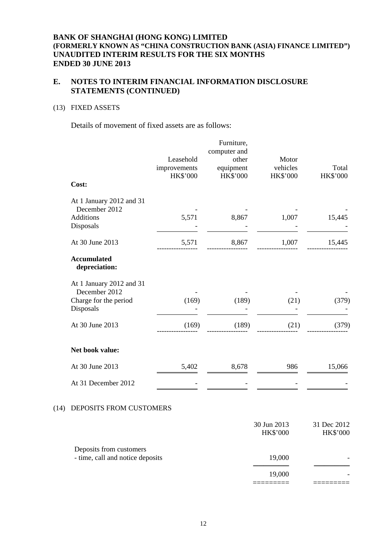## **E. NOTES TO INTERIM FINANCIAL INFORMATION DISCLOSURE STATEMENTS (CONTINUED)**

## (13) FIXED ASSETS

 $(14)$ 

Details of movement of fixed assets are as follows:

|                                                                                 | Leasehold<br>improvements<br>HK\$'000 | Furniture,<br>computer and<br>other<br>equipment<br><b>HK\$'000</b> | Motor<br>vehicles<br><b>HK\$'000</b> | Total<br>HK\$'000              |
|---------------------------------------------------------------------------------|---------------------------------------|---------------------------------------------------------------------|--------------------------------------|--------------------------------|
| Cost:                                                                           |                                       |                                                                     |                                      |                                |
| At 1 January 2012 and 31<br>December 2012<br><b>Additions</b><br>Disposals      | 5,571                                 | 8,867                                                               | 1,007                                | 15,445                         |
| At 30 June 2013                                                                 | 5,571                                 | 8,867                                                               | 1,007                                | 15,445                         |
| <b>Accumulated</b><br>depreciation:                                             |                                       |                                                                     |                                      |                                |
| At 1 January 2012 and 31<br>December 2012<br>Charge for the period<br>Disposals | (169)                                 | (189)                                                               | (21)                                 | (379)                          |
| At 30 June 2013                                                                 | (169)                                 | (189)                                                               | (21)                                 | (379)                          |
| Net book value:                                                                 |                                       |                                                                     |                                      |                                |
| At 30 June 2013                                                                 | 5,402                                 | 8,678                                                               | 986                                  | 15,066                         |
| At 31 December 2012                                                             |                                       |                                                                     |                                      |                                |
| DEPOSITS FROM CUSTOMERS                                                         |                                       |                                                                     |                                      |                                |
|                                                                                 |                                       |                                                                     | 30 Jun 2013<br><b>HK\$'000</b>       | 31 Dec 2012<br><b>HK\$'000</b> |
| Deposits from customers<br>- time, call and notice deposits                     |                                       |                                                                     | 19,000                               |                                |
|                                                                                 |                                       |                                                                     | 19,000                               |                                |

========= =========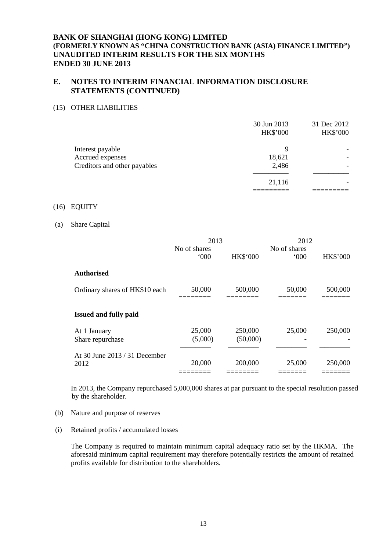## **E. NOTES TO INTERIM FINANCIAL INFORMATION DISCLOSURE STATEMENTS (CONTINUED)**

#### (15) OTHER LIABILITIES

|                              | 30 Jun 2013<br><b>HK\$'000</b> | 31 Dec 2012<br>HK\$'000 |
|------------------------------|--------------------------------|-------------------------|
| Interest payable             | 9                              |                         |
| Accrued expenses             | 18,621                         |                         |
| Creditors and other payables | 2,486                          |                         |
|                              |                                |                         |
|                              | 21,116                         |                         |
|                              |                                |                         |

#### (16) EQUITY

#### (a) Share Capital

|                                       | 2013                |                     | 2012                |                 |
|---------------------------------------|---------------------|---------------------|---------------------|-----------------|
|                                       | No of shares<br>000 | <b>HK\$'000</b>     | No of shares<br>000 | <b>HK\$'000</b> |
| <b>Authorised</b>                     |                     |                     |                     |                 |
| Ordinary shares of HK\$10 each        | 50,000              | 500,000             | 50,000              | 500,000         |
| <b>Issued and fully paid</b>          |                     |                     |                     |                 |
| At 1 January<br>Share repurchase      | 25,000<br>(5,000)   | 250,000<br>(50,000) | 25,000              | 250,000         |
| At 30 June 2013 / 31 December<br>2012 | 20,000              | 200,000             | 25,000              | 250,000         |

In 2013, the Company repurchased 5,000,000 shares at par pursuant to the special resolution passed by the shareholder.

- (b) Nature and purpose of reserves
- (i) Retained profits / accumulated losses

The Company is required to maintain minimum capital adequacy ratio set by the HKMA. The aforesaid minimum capital requirement may therefore potentially restricts the amount of retained profits available for distribution to the shareholders.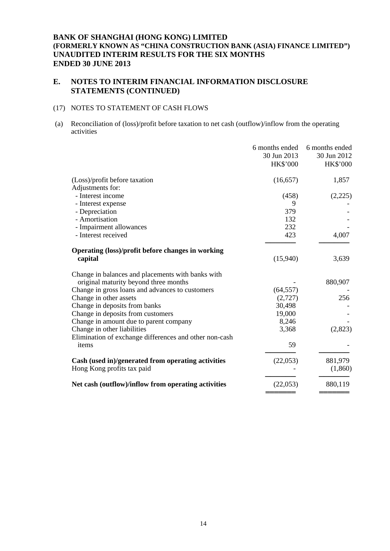## **E. NOTES TO INTERIM FINANCIAL INFORMATION DISCLOSURE STATEMENTS (CONTINUED)**

## (17) NOTES TO STATEMENT OF CASH FLOWS

 (a) Reconciliation of (loss)/profit before taxation to net cash (outflow)/inflow from the operating activities

|                                                        | 6 months ended<br>30 Jun 2013<br><b>HK\$'000</b> | 6 months ended<br>30 Jun 2012<br><b>HK\$'000</b> |
|--------------------------------------------------------|--------------------------------------------------|--------------------------------------------------|
| (Loss)/profit before taxation                          | (16, 657)                                        | 1,857                                            |
| Adjustments for:                                       |                                                  |                                                  |
| - Interest income                                      | (458)                                            | (2,225)                                          |
| - Interest expense                                     | 9                                                |                                                  |
| - Depreciation                                         | 379                                              |                                                  |
| - Amortisation                                         | 132                                              |                                                  |
| - Impairment allowances                                | 232                                              |                                                  |
| - Interest received                                    | 423                                              | 4,007                                            |
| Operating (loss)/profit before changes in working      |                                                  |                                                  |
| capital                                                | (15,940)                                         | 3,639                                            |
| Change in balances and placements with banks with      |                                                  |                                                  |
| original maturity beyond three months                  |                                                  | 880,907                                          |
| Change in gross loans and advances to customers        | (64, 557)                                        |                                                  |
| Change in other assets                                 | (2,727)                                          | 256                                              |
| Change in deposits from banks                          | 30,498                                           |                                                  |
| Change in deposits from customers                      | 19,000                                           |                                                  |
| Change in amount due to parent company                 | 8,246                                            |                                                  |
| Change in other liabilities                            | 3,368                                            | (2,823)                                          |
| Elimination of exchange differences and other non-cash |                                                  |                                                  |
| items                                                  | 59                                               |                                                  |
| Cash (used in)/generated from operating activities     | (22,053)                                         | 881,979                                          |
| Hong Kong profits tax paid                             |                                                  | (1,860)                                          |
| Net cash (outflow)/inflow from operating activities    | (22,053)                                         | 880,119                                          |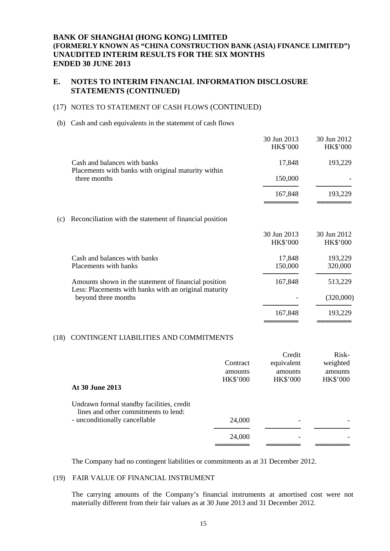## **E. NOTES TO INTERIM FINANCIAL INFORMATION DISCLOSURE STATEMENTS (CONTINUED)**

### (17) NOTES TO STATEMENT OF CASH FLOWS (CONTINUED)

#### (b) Cash and cash equivalents in the statement of cash flows

|     |                                                                                                               | 30 Jun 2013<br><b>HK\$'000</b> | 30 Jun 2012<br>HK\$'000        |
|-----|---------------------------------------------------------------------------------------------------------------|--------------------------------|--------------------------------|
|     | Cash and balances with banks<br>Placements with banks with original maturity within                           | 17,848                         | 193,229                        |
|     | three months                                                                                                  | 150,000                        |                                |
|     |                                                                                                               | 167,848                        | 193,229                        |
| (c) | Reconciliation with the statement of financial position                                                       |                                |                                |
|     |                                                                                                               | 30 Jun 2013<br><b>HK\$'000</b> | 30 Jun 2012<br><b>HK\$'000</b> |
|     | Cash and balances with banks<br>Placements with banks                                                         | 17,848<br>150,000              | 193,229<br>320,000             |
|     | Amounts shown in the statement of financial position<br>Less: Placements with banks with an original maturity | 167,848                        | 513,229                        |
|     | beyond three months                                                                                           |                                | (320,000)                      |
|     |                                                                                                               | 167,848                        | 193,229                        |

#### (18) CONTINGENT LIABILITIES AND COMMITMENTS

|                                                                                                                    |                 | Credit          | Risk-           |
|--------------------------------------------------------------------------------------------------------------------|-----------------|-----------------|-----------------|
|                                                                                                                    | Contract        | equivalent      | weighted        |
|                                                                                                                    | amounts         | amounts         | amounts         |
|                                                                                                                    | <b>HK\$'000</b> | <b>HK\$'000</b> | <b>HK\$'000</b> |
| At 30 June 2013                                                                                                    |                 |                 |                 |
| Undrawn formal standby facilities, credit<br>lines and other commitments to lend:<br>- unconditionally cancellable | 24,000          |                 |                 |
|                                                                                                                    | 24,000          |                 |                 |
|                                                                                                                    |                 |                 |                 |

The Company had no contingent liabilities or commitments as at 31 December 2012.

#### (19) FAIR VALUE OF FINANCIAL INSTRUMENT

The carrying amounts of the Company's financial instruments at amortised cost were not materially different from their fair values as at 30 June 2013 and 31 December 2012.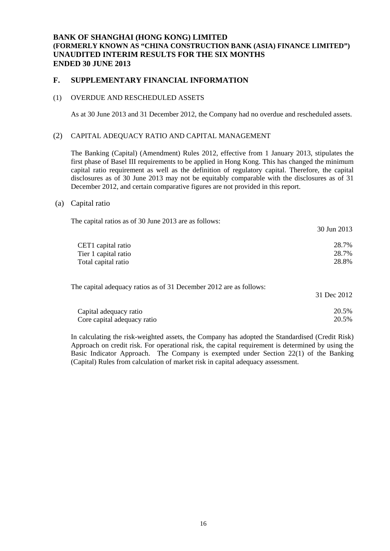## **F. SUPPLEMENTARY FINANCIAL INFORMATION**

#### (1) OVERDUE AND RESCHEDULED ASSETS

As at 30 June 2013 and 31 December 2012, the Company had no overdue and rescheduled assets.

#### (2) CAPITAL ADEQUACY RATIO AND CAPITAL MANAGEMENT

The Banking (Capital) (Amendment) Rules 2012, effective from 1 January 2013, stipulates the first phase of Basel III requirements to be applied in Hong Kong. This has changed the minimum capital ratio requirement as well as the definition of regulatory capital. Therefore, the capital disclosures as of 30 June 2013 may not be equitably comparable with the disclosures as of 31 December 2012, and certain comparative figures are not provided in this report.

#### (a) Capital ratio

| The capital ratios as of 30 June 2013 are as follows:              |             |
|--------------------------------------------------------------------|-------------|
|                                                                    | 30 Jun 2013 |
| CET1 capital ratio                                                 | 28.7%       |
| Tier 1 capital ratio                                               | 28.7%       |
| Total capital ratio                                                | 28.8%       |
| The capital adequacy ratios as of 31 December 2012 are as follows: |             |
|                                                                    | 31 Dec 2012 |
| Capital adequacy ratio                                             | 20.5%       |
| Core capital adequacy ratio                                        | 20.5%       |

In calculating the risk-weighted assets, the Company has adopted the Standardised (Credit Risk) Approach on credit risk. For operational risk, the capital requirement is determined by using the Basic Indicator Approach. The Company is exempted under Section 22(1) of the Banking (Capital) Rules from calculation of market risk in capital adequacy assessment.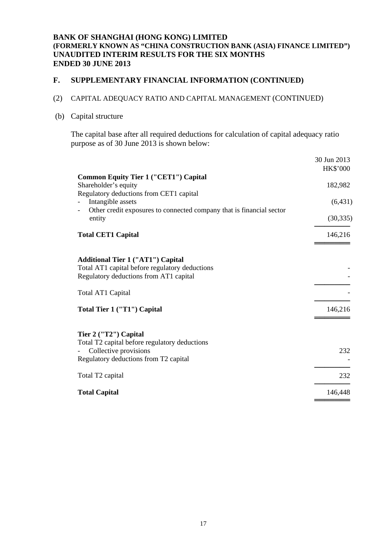# **F. SUPPLEMENTARY FINANCIAL INFORMATION (CONTINUED)**

# (2) CAPITAL ADEQUACY RATIO AND CAPITAL MANAGEMENT (CONTINUED)

### (b) Capital structure

The capital base after all required deductions for calculation of capital adequacy ratio purpose as of 30 June 2013 is shown below:

|                                                                                                                                          | 30 Jun 2013<br><b>HK\$'000</b> |
|------------------------------------------------------------------------------------------------------------------------------------------|--------------------------------|
| <b>Common Equity Tier 1 ("CET1") Capital</b><br>Shareholder's equity<br>Regulatory deductions from CET1 capital                          | 182,982                        |
| Intangible assets<br>Other credit exposures to connected company that is financial sector                                                | (6, 431)                       |
| entity                                                                                                                                   | (30, 335)                      |
| <b>Total CET1 Capital</b>                                                                                                                | 146,216                        |
| <b>Additional Tier 1 ("AT1") Capital</b><br>Total AT1 capital before regulatory deductions<br>Regulatory deductions from AT1 capital     |                                |
| Total AT1 Capital                                                                                                                        |                                |
| Total Tier 1 ("T1") Capital                                                                                                              | 146,216                        |
| Tier 2 ("T2") Capital<br>Total T2 capital before regulatory deductions<br>Collective provisions<br>Regulatory deductions from T2 capital | 232                            |
| Total T <sub>2</sub> capital                                                                                                             | 232                            |
| <b>Total Capital</b>                                                                                                                     | 146,448                        |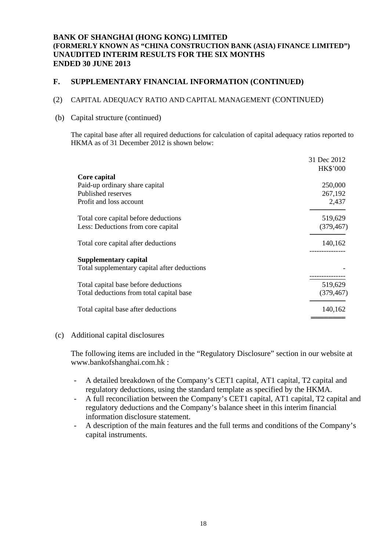# **F. SUPPLEMENTARY FINANCIAL INFORMATION (CONTINUED)**

## (2) CAPITAL ADEQUACY RATIO AND CAPITAL MANAGEMENT (CONTINUED)

### (b) Capital structure (continued)

The capital base after all required deductions for calculation of capital adequacy ratios reported to HKMA as of 31 December 2012 is shown below:

|                                              | 31 Dec 2012     |
|----------------------------------------------|-----------------|
|                                              | <b>HK\$'000</b> |
| Core capital                                 |                 |
| Paid-up ordinary share capital               | 250,000         |
| Published reserves                           | 267,192         |
| Profit and loss account                      | 2,437           |
| Total core capital before deductions         | 519,629         |
| Less: Deductions from core capital           | (379, 467)      |
| Total core capital after deductions          | 140,162         |
| Supplementary capital                        |                 |
| Total supplementary capital after deductions |                 |
|                                              |                 |
| Total capital base before deductions         | 519,629         |
| Total deductions from total capital base     | (379, 467)      |
| Total capital base after deductions          | 140,162         |
|                                              |                 |

### (c) Additional capital disclosures

The following items are included in the "Regulatory Disclosure" section in our website at [www.bankofshanghai.com.hk](http://www.bankofshanghai.com.hk/) :

- A detailed breakdown of the Company's CET1 capital, AT1 capital, T2 capital and regulatory deductions, using the standard template as specified by the HKMA.
- A full reconciliation between the Company's CET1 capital, AT1 capital, T2 capital and regulatory deductions and the Company's balance sheet in this interim financial information disclosure statement.
- A description of the main features and the full terms and conditions of the Company's capital instruments.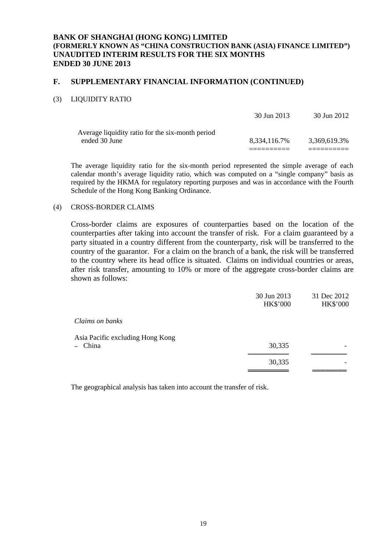### **F. SUPPLEMENTARY FINANCIAL INFORMATION (CONTINUED)**

### (3) LIQUIDITY RATIO

|                                                  | 30 Jun 2013  | 30 Jun 2012  |
|--------------------------------------------------|--------------|--------------|
| Average liquidity ratio for the six-month period |              |              |
| ended 30 June                                    | 8.334.116.7% | 3.369.619.3% |
|                                                  |              |              |

The average liquidity ratio for the six-month period represented the simple average of each calendar month's average liquidity ratio, which was computed on a "single company" basis as required by the HKMA for regulatory reporting purposes and was in accordance with the Fourth Schedule of the Hong Kong Banking Ordinance.

#### (4) CROSS-BORDER CLAIMS

Cross-border claims are exposures of counterparties based on the location of the counterparties after taking into account the transfer of risk. For a claim guaranteed by a party situated in a country different from the counterparty, risk will be transferred to the country of the guarantor. For a claim on the branch of a bank, the risk will be transferred to the country where its head office is situated. Claims on individual countries or areas, after risk transfer, amounting to 10% or more of the aggregate cross-border claims are shown as follows:

|                                             | 30 Jun 2013<br><b>HK\$'000</b> | 31 Dec 2012<br>HK\$'000 |
|---------------------------------------------|--------------------------------|-------------------------|
| Claims on banks                             |                                |                         |
| Asia Pacific excluding Hong Kong<br>- China | 30,335                         |                         |
|                                             | 30,335                         |                         |

The geographical analysis has taken into account the transfer of risk.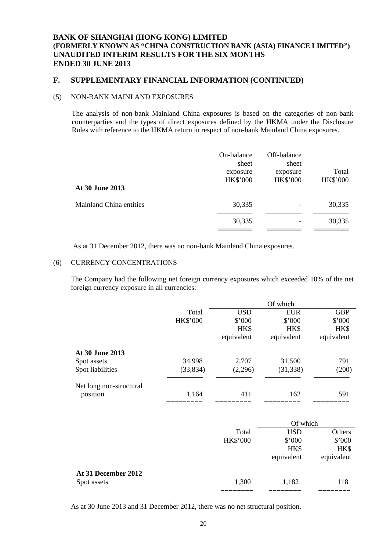### **F. SUPPLEMENTARY FINANCIAL INFORMATION (CONTINUED)**

### (5) NON-BANK MAINLAND EXPOSURES

The analysis of non-bank Mainland China exposures is based on the categories of non-bank counterparties and the types of direct exposures defined by the HKMA under the Disclosure Rules with reference to the HKMA return in respect of non-bank Mainland China exposures.

| At 30 June 2013         | On-balance<br>sheet<br>exposure<br>HK\$'000 | Off-balance<br>sheet<br>exposure<br><b>HK\$'000</b> | Total<br><b>HK\$'000</b> |
|-------------------------|---------------------------------------------|-----------------------------------------------------|--------------------------|
| Mainland China entities | 30,335                                      |                                                     | 30,335                   |
|                         | 30,335                                      |                                                     | 30,335                   |

As at 31 December 2012, there was no non-bank Mainland China exposures.

#### (6) CURRENCY CONCENTRATIONS

The Company had the following net foreign currency exposures which exceeded 10% of the net foreign currency exposure in all currencies:

|                         |           | Of which   |                  |            |
|-------------------------|-----------|------------|------------------|------------|
|                         | Total     | <b>USD</b> | <b>EUR</b>       | <b>GBP</b> |
|                         | HK\$'000  | \$'000     | \$'000           | \$'000     |
|                         |           | HK\$       | HK\$             | HK\$       |
|                         |           | equivalent | equivalent       | equivalent |
| At 30 June 2013         |           |            |                  |            |
| Spot assets             | 34,998    | 2,707      | 31,500           | 791        |
| Spot liabilities        | (33, 834) | (2,296)    | (31, 338)        | (200)      |
| Net long non-structural |           |            |                  |            |
| position                | 1,164     | 411        | 162              | 591        |
|                         |           |            |                  |            |
|                         |           |            | $\Omega$ f which |            |

|                     |                 | Of which   |            |  |
|---------------------|-----------------|------------|------------|--|
|                     | Total           | <b>USD</b> | Others     |  |
|                     | <b>HK\$'000</b> | \$'000     | \$'000     |  |
|                     |                 | HK\$       | HK\$       |  |
|                     |                 | equivalent | equivalent |  |
| At 31 December 2012 |                 |            |            |  |
| Spot assets         | 1,300           | 1,182      | 118        |  |
|                     |                 |            |            |  |

As at 30 June 2013 and 31 December 2012, there was no net structural position.